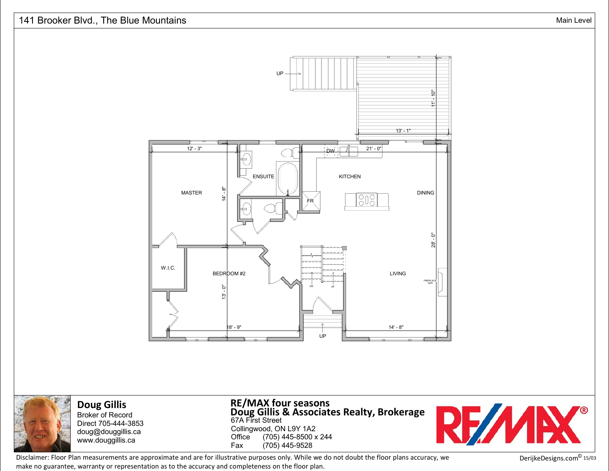





**Doug Gillis** Broker of Record Direct 705-444-3853 doug@douggillis.cawww.douggillis.ca

**RE/MAX four seasons<br>Doug Gillis & Associates Realty, Brokerage<br><sup>67A First Street**</sup> Collingwood, ON L9Y 1A2e (705) 445-8500 x 244 **Office** Fax(705) 445-9528



Disclaimer: Floor Plan measurements are approximate and are for illustrative purposes only. While we do not doubt the floor plans accuracy, we DerijkeDesigns.com<sup>©</sup> make no guarantee, warranty or representation as to the accuracy and completeness on the floor plan.

DerijkeDesigns.com<sup>©</sup> 15/03